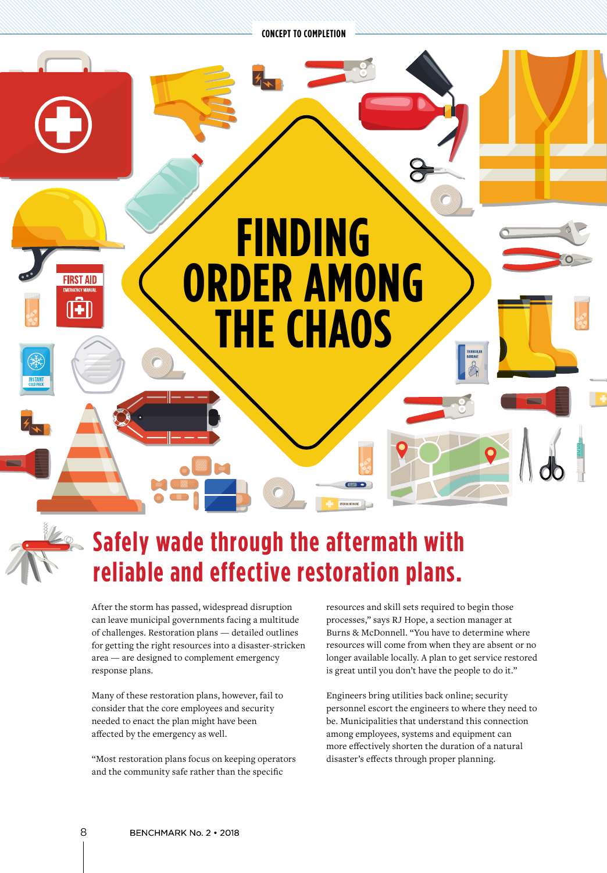**CONCEPT TO COMPLETION**



## **Safely wade through the aftermath with reliable and effective restoration plans.**

After the storm has passed, widespread disruption can leave municipal governments facing a multitude of challenges. Restoration plans — detailed outlines for getting the right resources into a disaster-stricken area — are designed to complement emergency response plans.

Many of these restoration plans, however, fail to consider that the core employees and security needed to enact the plan might have been affected by the emergency as well.

"Most restoration plans focus on keeping operators and the community safe rather than the specific

resources and skill sets required to begin those processes," says RJ Hope, a section manager at Burns & McDonnell. "You have to determine where resources will come from when they are absent or no longer available locally. A plan to get service restored is great until you don't have the people to do it."

Engineers bring utilities back online; security personnel escort the engineers to where they need to be. Municipalities that understand this connection among employees, systems and equipment can more effectively shorten the duration of a natural disaster's effects through proper planning.